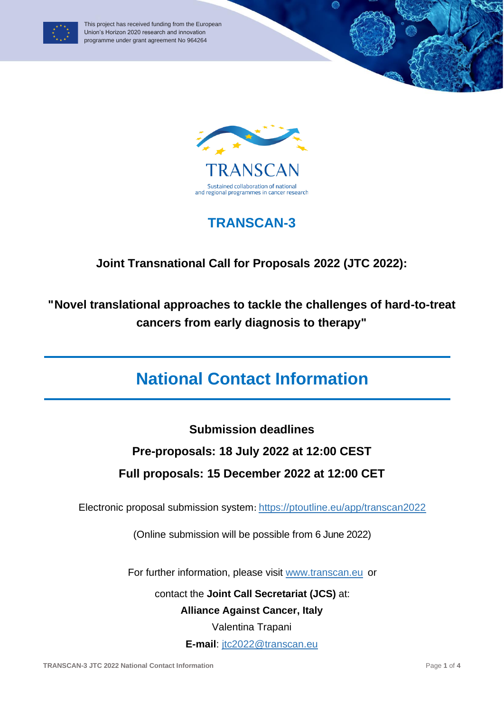



## **TRANSCAN-3**

### **Joint Transnational Call for Proposals 2022 (JTC 2022):**

**"Novel translational approaches to tackle the challenges of hard-to-treat cancers from early diagnosis to therapy"**

# **National Contact Information**

**Submission deadlines**

### **Pre-proposals: 18 July 2022 at 12:00 CEST**

### **Full proposals: 15 December 2022 at 12:00 CET**

Electronic proposal submission system: <https://ptoutline.eu/app/transcan2022>

(Online submission will be possible from 6 June 2022)

For further information, please visit [www.transcan.eu](http://www.transcan.eu/) or

contact the **Joint Call Secretariat (JCS)** at:

**Alliance Against Cancer, Italy**

Valentina Trapani

**E-mail**: [jtc2022@transcan.eu](mailto:jtc2022@transcan.eu)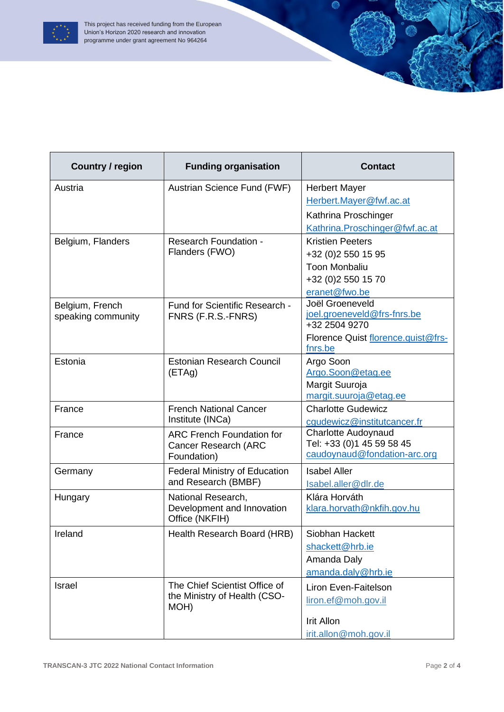

| <b>Country / region</b> | <b>Funding organisation</b>                                                    | <b>Contact</b>                                     |
|-------------------------|--------------------------------------------------------------------------------|----------------------------------------------------|
| Austria                 | Austrian Science Fund (FWF)                                                    | <b>Herbert Mayer</b>                               |
|                         |                                                                                | Herbert.Mayer@fwf.ac.at                            |
|                         |                                                                                | Kathrina Proschinger                               |
|                         |                                                                                | Kathrina.Proschinger@fwf.ac.at                     |
| Belgium, Flanders       | <b>Research Foundation -</b><br>Flanders (FWO)                                 | <b>Kristien Peeters</b>                            |
|                         |                                                                                | +32 (0)2 550 15 95                                 |
|                         |                                                                                | <b>Toon Monbaliu</b>                               |
|                         |                                                                                | +32 (0)2 550 15 70                                 |
|                         |                                                                                | eranet@fwo.be                                      |
| Belgium, French         | Fund for Scientific Research -                                                 | Joël Groeneveld<br>joel.groeneveld@frs-fnrs.be     |
| speaking community      | FNRS (F.R.S.-FNRS)                                                             | +32 2504 9270                                      |
|                         |                                                                                | Florence Quist florence.quist@frs-                 |
|                         |                                                                                | fnrs.be                                            |
| Estonia                 | <b>Estonian Research Council</b><br>(ETAg)                                     | Argo Soon                                          |
|                         |                                                                                | Argo.Soon@etag.ee                                  |
|                         |                                                                                | Margit Suuroja                                     |
|                         |                                                                                | margit.suuroja@etag.ee                             |
| France                  | <b>French National Cancer</b><br>Institute (INCa)                              | <b>Charlotte Gudewicz</b>                          |
|                         |                                                                                | cgudewicz@institutcancer.fr<br>Charlotte Audoynaud |
| France                  | <b>ARC French Foundation for</b><br><b>Cancer Research (ARC</b><br>Foundation) | Tel: +33 (0)1 45 59 58 45                          |
|                         |                                                                                | caudoynaud@fondation-arc.org                       |
| Germany                 | <b>Federal Ministry of Education</b>                                           | <b>Isabel Aller</b>                                |
|                         | and Research (BMBF)                                                            | Isabel.aller@dlr.de                                |
| Hungary                 | National Research,                                                             | Klára Horváth                                      |
|                         | Development and Innovation                                                     | klara.horvath@nkfih.gov.hu                         |
|                         | Office (NKFIH)                                                                 |                                                    |
| Ireland                 | Health Research Board (HRB)                                                    | Siobhan Hackett                                    |
|                         |                                                                                | shackett@hrb.ie                                    |
|                         |                                                                                | Amanda Daly                                        |
|                         |                                                                                | amanda.daly@hrb.ie                                 |
| Israel                  | The Chief Scientist Office of<br>the Ministry of Health (CSO-<br>MOH)          | Liron Even-Faitelson                               |
|                         |                                                                                | liron.ef@moh.gov.il                                |
|                         |                                                                                |                                                    |
|                         |                                                                                | <b>Irit Allon</b>                                  |
|                         |                                                                                | irit.allon@moh.gov.il                              |

0

 $\overline{\mathcal{L}}$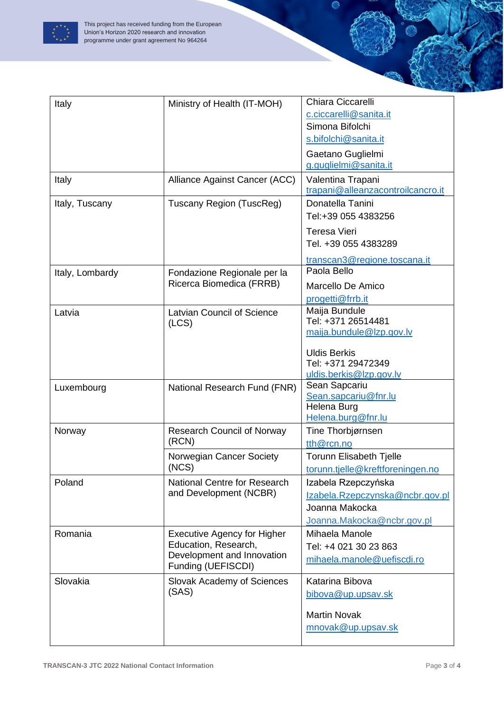

| Italy           | Ministry of Health (IT-MOH)                                                                                    | Chiara Ciccarelli<br>c.ciccarelli@sanita.it<br>Simona Bifolchi                                         |
|-----------------|----------------------------------------------------------------------------------------------------------------|--------------------------------------------------------------------------------------------------------|
|                 |                                                                                                                | s.bifolchi@sanita.it                                                                                   |
|                 |                                                                                                                | Gaetano Guglielmi<br>g.guglielmi@sanita.it                                                             |
| Italy           | Alliance Against Cancer (ACC)                                                                                  | Valentina Trapani<br>trapani@alleanzacontroilcancro.it                                                 |
| Italy, Tuscany  | Tuscany Region (TuscReg)                                                                                       | Donatella Tanini<br>Tel:+39 055 4383256                                                                |
|                 |                                                                                                                | <b>Teresa Vieri</b><br>Tel. +39 055 4383289                                                            |
|                 |                                                                                                                | transcan3@regione.toscana.it<br>Paola Bello                                                            |
| Italy, Lombardy | Fondazione Regionale per la<br>Ricerca Biomedica (FRRB)                                                        | Marcello De Amico<br>progetti@frrb.it                                                                  |
| Latvia          | <b>Latvian Council of Science</b><br>(LCS)                                                                     | Maija Bundule<br>Tel: +371 26514481<br>maija.bundule@lzp.gov.lv                                        |
|                 |                                                                                                                | <b>Uldis Berkis</b><br>Tel: +371 29472349<br>uldis.berkis@lzp.gov.lv                                   |
| Luxembourg      | National Research Fund (FNR)                                                                                   | Sean Sapcariu<br>Sean.sapcariu@fnr.lu<br>Helena Burg<br>Helena.burg@fnr.lu                             |
| Norway          | <b>Research Council of Norway</b><br>(RCN)                                                                     | Tine Thorbjørnsen<br>tth@rcn.no                                                                        |
|                 | Norwegian Cancer Society<br>(NCS)                                                                              | Torunn Elisabeth Tjelle<br>torunn.tjelle@kreftforeningen.no                                            |
| Poland          | National Centre for Research<br>and Development (NCBR)                                                         | Izabela Rzepczyńska<br>Izabela.Rzepczynska@ncbr.gov.pl<br>Joanna Makocka<br>Joanna.Makocka@ncbr.gov.pl |
| Romania         | <b>Executive Agency for Higher</b><br>Education, Research,<br>Development and Innovation<br>Funding (UEFISCDI) | Mihaela Manole<br>Tel: +4 021 30 23 863<br>mihaela.manole@uefiscdi.ro                                  |
| Slovakia        | Slovak Academy of Sciences<br>(SAS)                                                                            | Katarina Bibova<br>bibova@up.upsav.sk                                                                  |
|                 |                                                                                                                | <b>Martin Novak</b><br>mnovak@up.upsav.sk                                                              |

0

 $\overline{\mathcal{L}}$